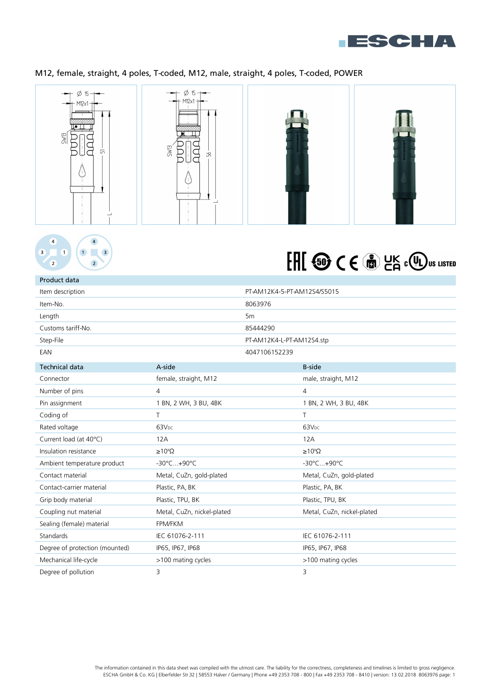

# M12, female, straight, 4 poles, T-coded, M12, male, straight, 4 poles, T-coded, POWER





Product data

# FHI @ CE @ PK COU US LISTED

| Item description               |                            | PT-AM12K4-5-PT-AM12S4/S5015 |                            |
|--------------------------------|----------------------------|-----------------------------|----------------------------|
| Item-No.                       |                            | 8063976                     |                            |
| Length                         |                            | 5 <sub>m</sub>              |                            |
| Customs tariff-No.             |                            | 85444290                    |                            |
| Step-File                      |                            | PT-AM12K4-L-PT-AM12S4.stp   |                            |
| EAN                            |                            | 4047106152239               |                            |
| <b>Technical data</b>          | A-side                     |                             | <b>B-side</b>              |
| Connector                      | female, straight, M12      |                             | male, straight, M12        |
| Number of pins                 | 4                          |                             | $\overline{4}$             |
| Pin assignment                 | 1 BN, 2 WH, 3 BU, 4BK      |                             | 1 BN, 2 WH, 3 BU, 4BK      |
| Coding of                      | Τ                          |                             | T                          |
| Rated voltage                  | 63V <sub>DC</sub>          |                             | 63V <sub>pc</sub>          |
| Current load (at 40°C)         | 12A                        |                             | 12A                        |
| Insulation resistance          | $\geq 10^8 \Omega$         |                             | $\geq 10^8 \Omega$         |
| Ambient temperature product    | -30°C+90°C                 |                             | -30°C+90°C                 |
| Contact material               | Metal, CuZn, gold-plated   |                             | Metal, CuZn, gold-plated   |
| Contact-carrier material       | Plastic, PA, BK            |                             | Plastic, PA, BK            |
| Grip body material             | Plastic, TPU, BK           |                             | Plastic, TPU, BK           |
| Coupling nut material          | Metal, CuZn, nickel-plated |                             | Metal, CuZn, nickel-plated |
| Sealing (female) material      | <b>FPM/FKM</b>             |                             |                            |
| Standards                      | IEC 61076-2-111            |                             | IEC 61076-2-111            |
| Degree of protection (mounted) | IP65, IP67, IP68           |                             | IP65, IP67, IP68           |
| Mechanical life-cycle          | >100 mating cycles         |                             | >100 mating cycles         |
| Degree of pollution            | 3                          |                             | 3                          |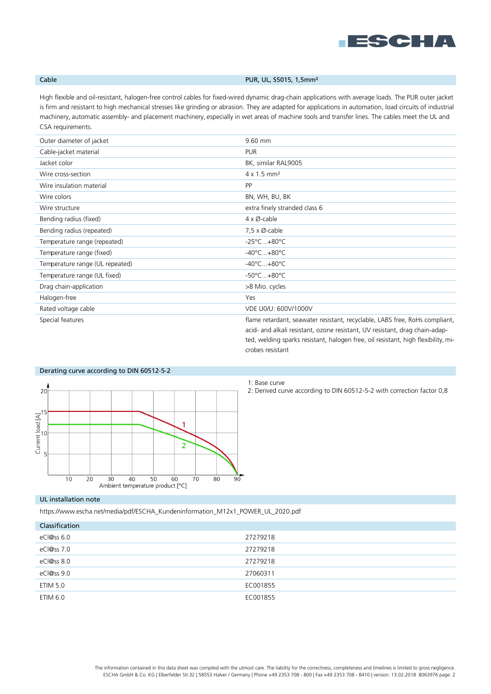

## Cable **Cable Cable PUR, UL, S5015, 1,5mm**<sup>2</sup>

High flexible and oil-resistant, halogen-free control cables for fixed-wired dynamic drag-chain applications with average loads. The PUR outer jacket is firm and resistant to high mechanical stresses like grinding or abrasion. They are adapted for applications in automation, load circuits of industrial machinery, automatic assembly- and placement machinery, especially in wet areas of machine tools and transfer lines. The cables meet the UL and CSA requirements.

| Outer diameter of jacket        | 9.60 mm                                                                                                                                                                                                                                         |
|---------------------------------|-------------------------------------------------------------------------------------------------------------------------------------------------------------------------------------------------------------------------------------------------|
| Cable-jacket material           | <b>PUR</b>                                                                                                                                                                                                                                      |
| Jacket color                    | BK, similar RAL9005                                                                                                                                                                                                                             |
| Wire cross-section              | $4 \times 1.5$ mm <sup>2</sup>                                                                                                                                                                                                                  |
| Wire insulation material        | <b>PP</b>                                                                                                                                                                                                                                       |
| Wire colors                     | BN, WH, BU, BK                                                                                                                                                                                                                                  |
| Wire structure                  | extra finely stranded class 6                                                                                                                                                                                                                   |
| Bending radius (fixed)          | $4 \times \emptyset$ -cable                                                                                                                                                                                                                     |
| Bending radius (repeated)       | $7,5 \times \emptyset$ -cable                                                                                                                                                                                                                   |
| Temperature range (repeated)    | $-25^{\circ}$ C $+80^{\circ}$ C                                                                                                                                                                                                                 |
| Temperature range (fixed)       | $-40^{\circ}$ C $+80^{\circ}$ C                                                                                                                                                                                                                 |
| Temperature range (UL repeated) | $-40^{\circ}$ C $+80^{\circ}$ C                                                                                                                                                                                                                 |
| Temperature range (UL fixed)    | $-50^{\circ}$ C $+80^{\circ}$ C                                                                                                                                                                                                                 |
| Drag chain-application          | >8 Mio. cycles                                                                                                                                                                                                                                  |
| Halogen-free                    | Yes                                                                                                                                                                                                                                             |
| Rated voltage cable             | VDE U0/U: 600V/1000V                                                                                                                                                                                                                            |
| Special features                | flame retardant, seawater resistant, recyclable, LABS free, RoHs compliant,<br>acid- and alkali resistant, ozone resistant, UV resistant, drag chain-adap-<br>ted, welding sparks resistant, halogen free, oil resistant, high flexibility, mi- |



# 1: Base curve

crobes resistant

2: Derived curve according to DIN 60512-5-2 with correction factor 0,8

### UL installation note

https://www.escha.net/media/pdf/ESCHA\_Kundeninformation\_M12x1\_POWER\_UL\_2020.pdf

| Classification |          |
|----------------|----------|
| $eC$  @ss 6.0  | 27279218 |
| eCl@ss 7.0     | 27279218 |
| eCl@ss 8.0     | 27279218 |
| eCl@ss 9.0     | 27060311 |
| ETIM 5.0       | EC001855 |
| ETIM 6.0       | EC001855 |